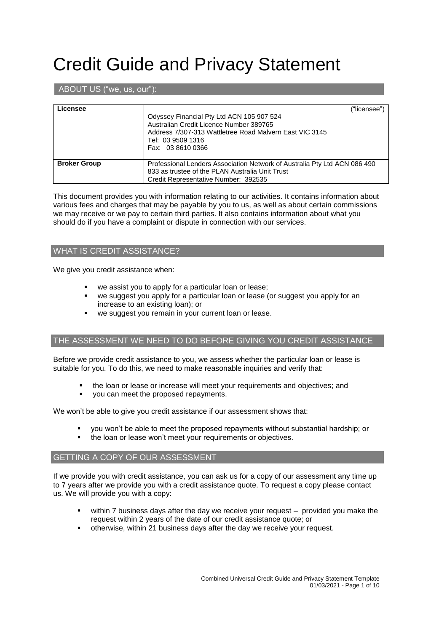# Credit Guide and Privacy Statement

# ABOUT US ("we, us, our"):

| Licensee            | ("licensee")<br>Odyssey Financial Pty Ltd ACN 105 907 524<br>Australian Credit Licence Number 389765<br>Address 7/307-313 Wattletree Road Malvern East VIC 3145<br>Tel: 03 9509 1316<br>Fax: 03 8610 0366 |
|---------------------|-----------------------------------------------------------------------------------------------------------------------------------------------------------------------------------------------------------|
| <b>Broker Group</b> | Professional Lenders Association Network of Australia Pty Ltd ACN 086 490<br>833 as trustee of the PLAN Australia Unit Trust<br>Credit Representative Number: 392535                                      |

This document provides you with information relating to our activities. It contains information about various fees and charges that may be payable by you to us, as well as about certain commissions we may receive or we pay to certain third parties. It also contains information about what you should do if you have a complaint or dispute in connection with our services.

# WHAT IS CREDIT ASSISTANCE?

We give you credit assistance when:

- we assist you to apply for a particular loan or lease;
- we suggest you apply for a particular loan or lease (or suggest you apply for an increase to an existing loan); or
- we suggest you remain in your current loan or lease.

## THE ASSESSMENT WE NEED TO DO BEFORE GIVING YOU CREDIT ASSISTANCE

Before we provide credit assistance to you, we assess whether the particular loan or lease is suitable for you. To do this, we need to make reasonable inquiries and verify that:

- the loan or lease or increase will meet your requirements and objectives; and
- you can meet the proposed repayments.

We won't be able to give you credit assistance if our assessment shows that:

- you won't be able to meet the proposed repayments without substantial hardship; or
- the loan or lease won't meet your requirements or objectives.

## GETTING A COPY OF OUR ASSESSMENT

If we provide you with credit assistance, you can ask us for a copy of our assessment any time up to 7 years after we provide you with a credit assistance quote. To request a copy please contact us. We will provide you with a copy:

- within 7 business days after the day we receive your request provided you make the request within 2 years of the date of our credit assistance quote; or
- otherwise, within 21 business days after the day we receive your request.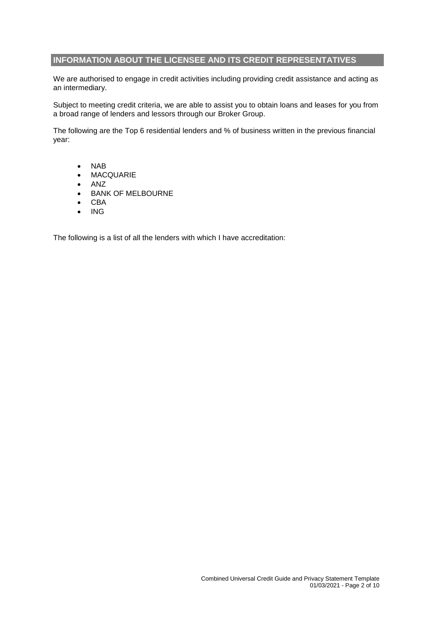# **INFORMATION ABOUT THE LICENSEE AND ITS CREDIT REPRESENTATIVES**

We are authorised to engage in credit activities including providing credit assistance and acting as an intermediary.

Subject to meeting credit criteria, we are able to assist you to obtain loans and leases for you from a broad range of lenders and lessors through our Broker Group.

The following are the Top 6 residential lenders and % of business written in the previous financial year:

- NAB
- MACQUARIE
- $\bullet$  ANZ
- **BANK OF MELBOURNE**
- CBA
- $\bullet$  ING

The following is a list of all the lenders with which I have accreditation: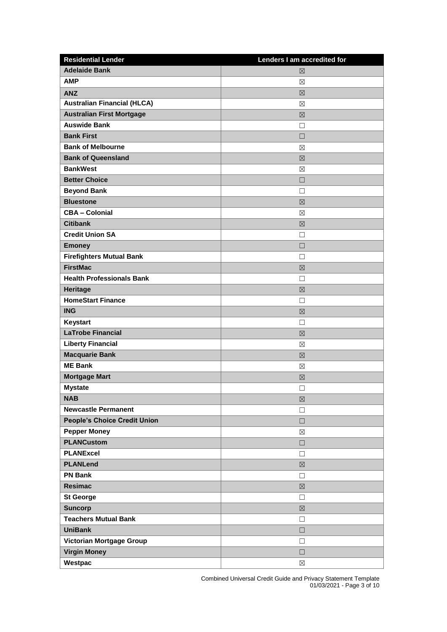| <b>Residential Lender</b>           | Lenders I am accredited for |
|-------------------------------------|-----------------------------|
| <b>Adelaide Bank</b>                | 区                           |
| <b>AMP</b>                          | ⊠                           |
| <b>ANZ</b>                          | 区                           |
| <b>Australian Financial (HLCA)</b>  | ⊠                           |
| <b>Australian First Mortgage</b>    | 区                           |
| <b>Auswide Bank</b>                 | П                           |
| <b>Bank First</b>                   | $\Box$                      |
| <b>Bank of Melbourne</b>            | $\boxtimes$                 |
| <b>Bank of Queensland</b>           | 区                           |
| <b>BankWest</b>                     | ⊠                           |
| <b>Better Choice</b>                | $\Box$                      |
| <b>Beyond Bank</b>                  | П                           |
| <b>Bluestone</b>                    | 区                           |
| <b>CBA - Colonial</b>               | $\boxtimes$                 |
| <b>Citibank</b>                     | $\boxtimes$                 |
| <b>Credit Union SA</b>              | □                           |
| <b>Emoney</b>                       | $\Box$                      |
| <b>Firefighters Mutual Bank</b>     | П                           |
| <b>FirstMac</b>                     | 区                           |
| <b>Health Professionals Bank</b>    | П                           |
| <b>Heritage</b>                     | $\boxtimes$                 |
| <b>HomeStart Finance</b>            | □                           |
| <b>ING</b>                          | ⊠                           |
| Keystart                            | П                           |
| <b>LaTrobe Financial</b>            | 区                           |
| <b>Liberty Financial</b>            | ⊠                           |
| <b>Macquarie Bank</b>               | 区                           |
| <b>ME Bank</b>                      | ⊠                           |
| <b>Mortgage Mart</b>                | $\boxtimes$                 |
| <b>Mystate</b>                      | П                           |
| <b>NAB</b>                          | $\boxtimes$                 |
| <b>Newcastle Permanent</b>          | $\Box$                      |
| <b>People's Choice Credit Union</b> | $\Box$                      |
| <b>Pepper Money</b>                 | $\boxtimes$                 |
| <b>PLANCustom</b>                   | $\Box$                      |
| <b>PLANExcel</b>                    | $\Box$                      |
| <b>PLANLend</b>                     | $\boxtimes$                 |
| <b>PN Bank</b>                      | $\Box$                      |
| <b>Resimac</b>                      | $\boxtimes$                 |
| <b>St George</b>                    | $\Box$                      |
| <b>Suncorp</b>                      | $\boxtimes$                 |
| <b>Teachers Mutual Bank</b>         | $\Box$                      |
| <b>UniBank</b>                      | $\Box$                      |
| <b>Victorian Mortgage Group</b>     | $\Box$                      |
| <b>Virgin Money</b>                 | $\Box$                      |
| Westpac                             | $\boxtimes$                 |

Combined Universal Credit Guide and Privacy Statement Template 01/03/2021 - Page 3 of 10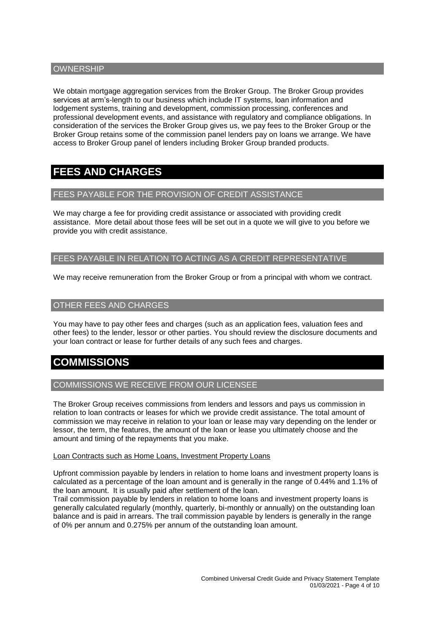# **OWNERSHIP**

We obtain mortgage aggregation services from the Broker Group. The Broker Group provides services at arm's-length to our business which include IT systems, loan information and lodgement systems, training and development, commission processing, conferences and professional development events, and assistance with regulatory and compliance obligations. In consideration of the services the Broker Group gives us, we pay fees to the Broker Group or the Broker Group retains some of the commission panel lenders pay on loans we arrange. We have access to Broker Group panel of lenders including Broker Group branded products.

# **FEES AND CHARGES**

# FEES PAYABLE FOR THE PROVISION OF CREDIT ASSISTANCE

We may charge a fee for providing credit assistance or associated with providing credit assistance. More detail about those fees will be set out in a quote we will give to you before we provide you with credit assistance.

# FEES PAYABLE IN RELATION TO ACTING AS A CREDIT REPRESENTATIVE

We may receive remuneration from the Broker Group or from a principal with whom we contract.

# OTHER FEES AND CHARGES

You may have to pay other fees and charges (such as an application fees, valuation fees and other fees) to the lender, lessor or other parties. You should review the disclosure documents and your loan contract or lease for further details of any such fees and charges.

# **COMMISSIONS**

## COMMISSIONS WE RECEIVE FROM OUR LICENSEE

The Broker Group receives commissions from lenders and lessors and pays us commission in relation to loan contracts or leases for which we provide credit assistance. The total amount of commission we may receive in relation to your loan or lease may vary depending on the lender or lessor, the term, the features, the amount of the loan or lease you ultimately choose and the amount and timing of the repayments that you make.

#### Loan Contracts such as Home Loans, Investment Property Loans

Upfront commission payable by lenders in relation to home loans and investment property loans is calculated as a percentage of the loan amount and is generally in the range of 0.44% and 1.1% of the loan amount. It is usually paid after settlement of the loan.

Trail commission payable by lenders in relation to home loans and investment property loans is generally calculated regularly (monthly, quarterly, bi-monthly or annually) on the outstanding loan balance and is paid in arrears. The trail commission payable by lenders is generally in the range of 0% per annum and 0.275% per annum of the outstanding loan amount.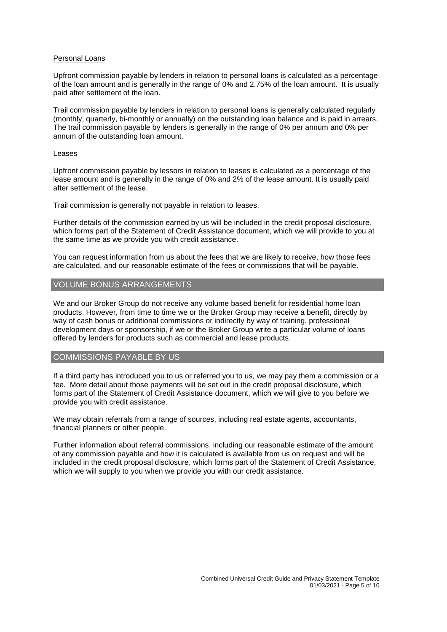#### Personal Loans

Upfront commission payable by lenders in relation to personal loans is calculated as a percentage of the loan amount and is generally in the range of 0% and 2.75% of the loan amount. It is usually paid after settlement of the loan.

Trail commission payable by lenders in relation to personal loans is generally calculated regularly (monthly, quarterly, bi-monthly or annually) on the outstanding loan balance and is paid in arrears. The trail commission payable by lenders is generally in the range of 0% per annum and 0% per annum of the outstanding loan amount.

#### Leases

Upfront commission payable by lessors in relation to leases is calculated as a percentage of the lease amount and is generally in the range of 0% and 2% of the lease amount. It is usually paid after settlement of the lease.

Trail commission is generally not payable in relation to leases.

Further details of the commission earned by us will be included in the credit proposal disclosure, which forms part of the Statement of Credit Assistance document, which we will provide to you at the same time as we provide you with credit assistance.

You can request information from us about the fees that we are likely to receive, how those fees are calculated, and our reasonable estimate of the fees or commissions that will be payable.

## VOLUME BONUS ARRANGEMENTS

We and our Broker Group do not receive any volume based benefit for residential home loan products. However, from time to time we or the Broker Group may receive a benefit, directly by way of cash bonus or additional commissions or indirectly by way of training, professional development days or sponsorship, if we or the Broker Group write a particular volume of loans offered by lenders for products such as commercial and lease products.

# COMMISSIONS PAYABLE BY US

If a third party has introduced you to us or referred you to us, we may pay them a commission or a fee. More detail about those payments will be set out in the credit proposal disclosure, which forms part of the Statement of Credit Assistance document, which we will give to you before we provide you with credit assistance.

We may obtain referrals from a range of sources, including real estate agents, accountants, financial planners or other people.

Further information about referral commissions, including our reasonable estimate of the amount of any commission payable and how it is calculated is available from us on request and will be included in the credit proposal disclosure, which forms part of the Statement of Credit Assistance, which we will supply to you when we provide you with our credit assistance.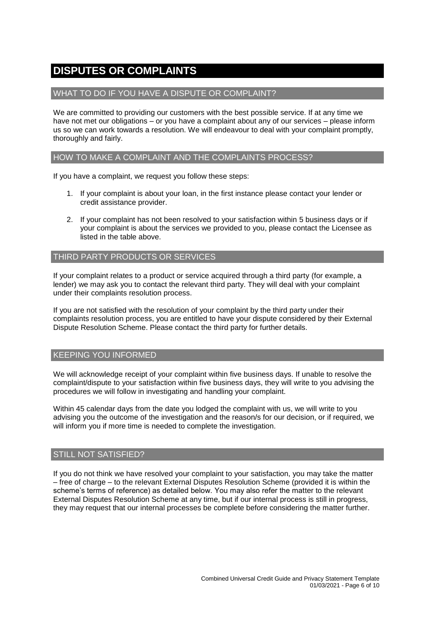# **DISPUTES OR COMPLAINTS**

# WHAT TO DO IF YOU HAVE A DISPUTE OR COMPLAINT?

We are committed to providing our customers with the best possible service. If at any time we have not met our obligations – or you have a complaint about any of our services – please inform us so we can work towards a resolution. We will endeavour to deal with your complaint promptly, thoroughly and fairly.

## HOW TO MAKE A COMPLAINT AND THE COMPLAINTS PROCESS?

If you have a complaint, we request you follow these steps:

- 1. If your complaint is about your loan, in the first instance please contact your lender or credit assistance provider.
- 2. If your complaint has not been resolved to your satisfaction within 5 business days or if your complaint is about the services we provided to you, please contact the Licensee as listed in the table above.

#### THIRD PARTY PRODUCTS OR SERVICES

If your complaint relates to a product or service acquired through a third party (for example, a lender) we may ask you to contact the relevant third party. They will deal with your complaint under their complaints resolution process.

If you are not satisfied with the resolution of your complaint by the third party under their complaints resolution process, you are entitled to have your dispute considered by their External Dispute Resolution Scheme. Please contact the third party for further details.

# KEEPING YOU INFORMED

We will acknowledge receipt of your complaint within five business days. If unable to resolve the complaint/dispute to your satisfaction within five business days, they will write to you advising the procedures we will follow in investigating and handling your complaint.

Within 45 calendar days from the date you lodged the complaint with us, we will write to you advising you the outcome of the investigation and the reason/s for our decision, or if required, we will inform you if more time is needed to complete the investigation.

## STILL NOT SATISFIED?

If you do not think we have resolved your complaint to your satisfaction, you may take the matter – free of charge – to the relevant External Disputes Resolution Scheme (provided it is within the scheme's terms of reference) as detailed below. You may also refer the matter to the relevant External Disputes Resolution Scheme at any time, but if our internal process is still in progress, they may request that our internal processes be complete before considering the matter further.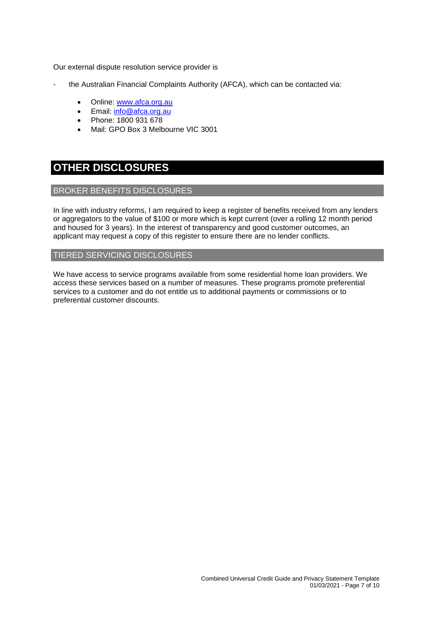Our external dispute resolution service provider is

- the Australian Financial Complaints Authority (AFCA), which can be contacted via:
	- Online: [www.afca.org.au](http://www.afca.org.au/)
	- Email: [info@afca.org.au](mailto:info@afc.org.au)
	- Phone: 1800 931 678
	- Mail: GPO Box 3 Melbourne VIC 3001

# **OTHER DISCLOSURES**

#### BROKER BENEFITS DISCLOSURES

In line with industry reforms, I am required to keep a register of benefits received from any lenders or aggregators to the value of \$100 or more which is kept current (over a rolling 12 month period and housed for 3 years). In the interest of transparency and good customer outcomes, an applicant may request a copy of this register to ensure there are no lender conflicts.

#### TIERED SERVICING DISCLOSURES

We have access to service programs available from some residential home loan providers. We access these services based on a number of measures. These programs promote preferential services to a customer and do not entitle us to additional payments or commissions or to preferential customer discounts.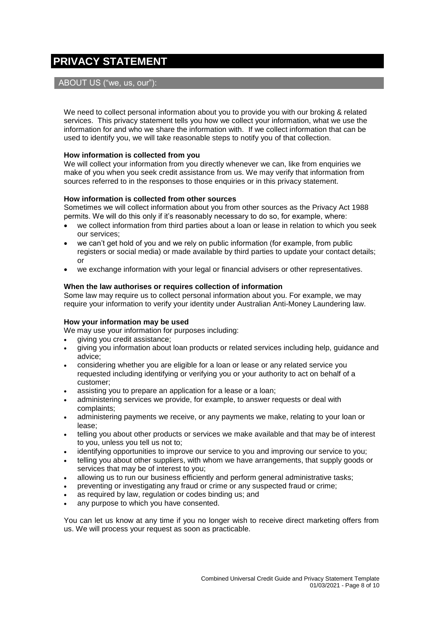# **PRIVACY STATEMENT**

# ABOUT US ("we, us, our"):

We need to collect personal information about you to provide you with our broking & related services. This privacy statement tells you how we collect your information, what we use the information for and who we share the information with. If we collect information that can be used to identify you, we will take reasonable steps to notify you of that collection.

#### **How information is collected from you**

We will collect your information from you directly whenever we can, like from enquiries we make of you when you seek credit assistance from us. We may verify that information from sources referred to in the responses to those enquiries or in this privacy statement.

#### **How information is collected from other sources**

Sometimes we will collect information about you from other sources as the Privacy Act 1988 permits. We will do this only if it's reasonably necessary to do so, for example, where:

- we collect information from third parties about a loan or lease in relation to which you seek our services;
- we can't get hold of you and we rely on public information (for example, from public registers or social media) or made available by third parties to update your contact details; or
- we exchange information with your legal or financial advisers or other representatives.

#### **When the law authorises or requires collection of information**

Some law may require us to collect personal information about you. For example, we may require your information to verify your identity under Australian Anti-Money Laundering law.

## **How your information may be used**

We may use your information for purposes including:

- giving you credit assistance;
- giving you information about loan products or related services including help, guidance and advice;
- considering whether you are eligible for a loan or lease or any related service you requested including identifying or verifying you or your authority to act on behalf of a customer;
- assisting you to prepare an application for a lease or a loan;
- administering services we provide, for example, to answer requests or deal with complaints;
- administering payments we receive, or any payments we make, relating to your loan or lease;
- telling you about other products or services we make available and that may be of interest to you, unless you tell us not to;
- identifying opportunities to improve our service to you and improving our service to you;
- telling you about other suppliers, with whom we have arrangements, that supply goods or services that may be of interest to you;
- allowing us to run our business efficiently and perform general administrative tasks;
- preventing or investigating any fraud or crime or any suspected fraud or crime;
- as required by law, regulation or codes binding us; and
- any purpose to which you have consented.

You can let us know at any time if you no longer wish to receive direct marketing offers from us. We will process your request as soon as practicable.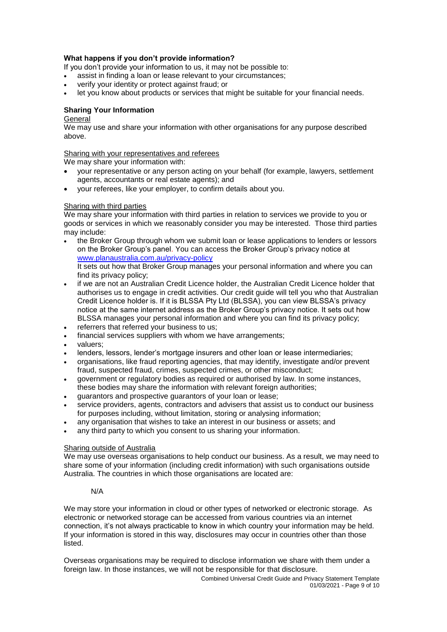## **What happens if you don't provide information?**

If you don't provide your information to us, it may not be possible to:

- assist in finding a loan or lease relevant to your circumstances;
- verify your identity or protect against fraud; or
- let you know about products or services that might be suitable for your financial needs.

# **Sharing Your Information**

#### **General**

We may use and share your information with other organisations for any purpose described above.

#### Sharing with your representatives and referees

We may share your information with:

- your representative or any person acting on your behalf (for example, lawyers, settlement agents, accountants or real estate agents); and
- your referees, like your employer, to confirm details about you.

#### Sharing with third parties

We may share your information with third parties in relation to services we provide to you or goods or services in which we reasonably consider you may be interested. Those third parties may include:

- the Broker Group through whom we submit loan or lease applications to lenders or lessors on the Broker Group's panel. You can access the Broker Group's privacy notice at [www.planaustralia.com.au/privacy-](http://www.planaustralia.com.au/privacy)policy It sets out how that Broker Group manages your personal information and where you can find its privacy policy;
- if we are not an Australian Credit Licence holder, the Australian Credit Licence holder that authorises us to engage in credit activities. Our credit guide will tell you who that Australian Credit Licence holder is. If it is BLSSA Pty Ltd (BLSSA), you can view BLSSA's privacy notice at the same internet address as the Broker Group's privacy notice. It sets out how BLSSA manages your personal information and where you can find its privacy policy;
- referrers that referred your business to us;
- financial services suppliers with whom we have arrangements;
- valuers;
- lenders, lessors, lender's mortgage insurers and other loan or lease intermediaries;
- organisations, like fraud reporting agencies, that may identify, investigate and/or prevent fraud, suspected fraud, crimes, suspected crimes, or other misconduct;
- government or regulatory bodies as required or authorised by law. In some instances, these bodies may share the information with relevant foreign authorities;
- guarantors and prospective guarantors of your loan or lease;
- service providers, agents, contractors and advisers that assist us to conduct our business for purposes including, without limitation, storing or analysing information;
- any organisation that wishes to take an interest in our business or assets; and
- any third party to which you consent to us sharing your information.

#### Sharing outside of Australia

We may use overseas organisations to help conduct our business. As a result, we may need to share some of your information (including credit information) with such organisations outside Australia. The countries in which those organisations are located are:

#### N/A

We may store your information in cloud or other types of networked or electronic storage. As electronic or networked storage can be accessed from various countries via an internet connection, it's not always practicable to know in which country your information may be held. If your information is stored in this way, disclosures may occur in countries other than those listed.

Overseas organisations may be required to disclose information we share with them under a foreign law. In those instances, we will not be responsible for that disclosure.